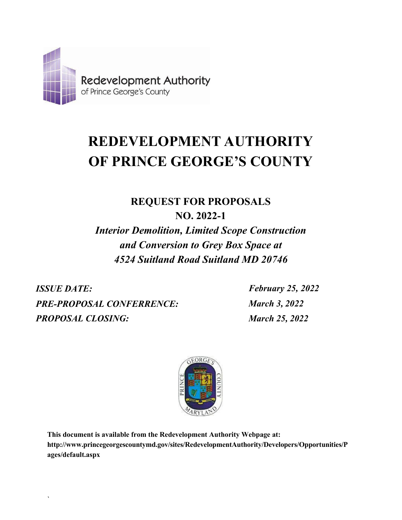

# **REDEVELOPMENT AUTHORITY OF PRINCE GEORGE'S COUNTY**

**REQUEST FOR PROPOSALS NO. 2022-1**

*Interior Demolition, Limited Scope Construction and Conversion to Grey Box Space at 4524 Suitland Road Suitland MD 20746*

*ISSUE DATE: February 25, 2022 PRE-PROPOSAL CONFERRENCE: PROPOSAL CLOSING:*

`

*March 3, 2022 March 25, 2022*



**This document is available from the Redevelopment Authority Webpage at: <http://www.princegeorgescountymd.gov/sites/RedevelopmentAuthority/Developers/Opportunities/P> ages/default.aspx**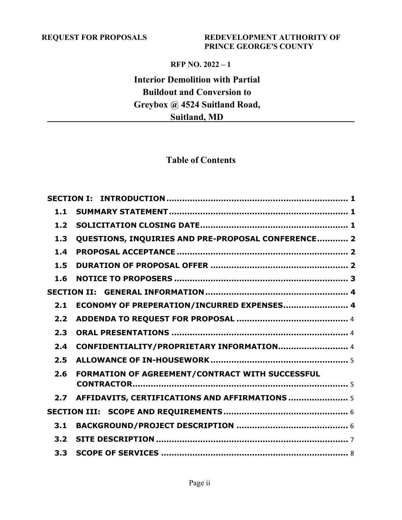### **REQUEST FOR PROPOSALS REDEVELOPMENT AUTHORITY OF PRINCE GEORGE'S COUNTY**

### **RFP NO. 2022 – 1**

### **Interior Demolition with Partial Buildout and Conversion to Greybox @ 4524 Suitland Road, Suitland, MD**

### **Table of Contents**

| 1.1              |                                                    |  |
|------------------|----------------------------------------------------|--|
| 1.2              |                                                    |  |
| 1.3              | QUESTIONS, INQUIRIES AND PRE-PROPOSAL CONFERENCE 2 |  |
| 1.4              |                                                    |  |
| 1.5              |                                                    |  |
| 1.6              |                                                    |  |
|                  |                                                    |  |
| 2.1              | ECONOMY OF PREPERATION/INCURRED EXPENSES 4         |  |
| 2.2 <sub>2</sub> |                                                    |  |
| 2.3              |                                                    |  |
| 2.4              | CONFIDENTIALITY/PROPRIETARY INFORMATION 4          |  |
| 2.5              |                                                    |  |
| 2.6              | FORMATION OF AGREEMENT/CONTRACT WITH SUCCESSFUL    |  |
|                  |                                                    |  |
| 2.7              | AFFIDAVITS, CERTIFICATIONS AND AFFIRMATIONS  5     |  |
|                  |                                                    |  |
| 3.1              |                                                    |  |
| 3.2              |                                                    |  |
| 3.3              |                                                    |  |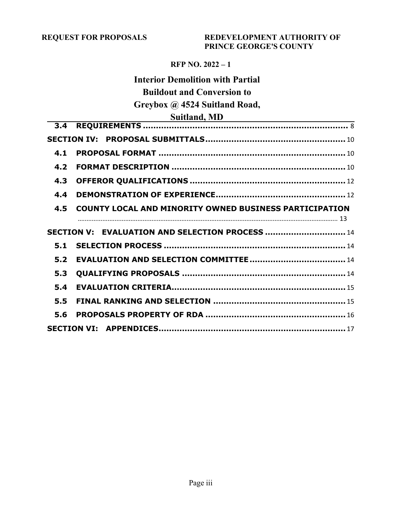### **REQUEST FOR PROPOSALS REDEVELOPMENT AUTHORITY OF PRINCE GEORGE'S COUNTY**

### **RFP NO. 2022 – 1**

### **Interior Demolition with Partial Buildout and Conversion to Greybox @ 4524 Suitland Road,**

### **Suitland, MD**

| 4.1 |                                                        |  |
|-----|--------------------------------------------------------|--|
| 4.2 |                                                        |  |
| 4.3 |                                                        |  |
| 4.4 |                                                        |  |
| 4.5 | COUNTY LOCAL AND MINORITY OWNED BUSINESS PARTICIPATION |  |
|     |                                                        |  |
|     | SECTION V: EVALUATION AND SELECTION PROCESS  14        |  |
| 5.1 |                                                        |  |
| 5.2 |                                                        |  |
| 5.3 |                                                        |  |
| 5.4 |                                                        |  |
| 5.5 |                                                        |  |
| 5.6 |                                                        |  |
|     |                                                        |  |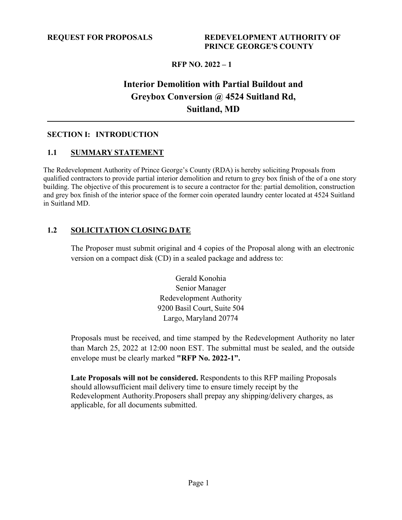### **Interior Demolition with Partial Buildout and Greybox Conversion @ 4524 Suitland Rd, Suitland, MD**

### <span id="page-3-1"></span><span id="page-3-0"></span>**SECTION I: INTRODUCTION**

### **1.1 SUMMARY STATEMENT**

The Redevelopment Authority of Prince George's County (RDA) is hereby soliciting Proposals from qualified contractors to provide partial interior demolition and return to grey box finish of the of a one story building. The objective of this procurement is to secure a contractor for the: partial demolition, construction and grey box finish of the interior space of the former coin operated laundry center located at 4524 Suitland in Suitland MD.

### <span id="page-3-2"></span>**1.2 SOLICITATION CLOSING DATE**

The Proposer must submit original and 4 copies of the Proposal along with an electronic version on a compact disk (CD) in a sealed package and address to:

> Gerald Konohia Senior Manager Redevelopment Authority 9200 Basil Court, Suite 504 Largo, Maryland 20774

Proposals must be received, and time stamped by the Redevelopment Authority no later than March 25, 2022 at 12:00 noon EST. The submittal must be sealed, and the outside envelope must be clearly marked **"RFP No. 2022-1".**

**Late Proposals will not be considered.** Respondents to this RFP mailing Proposals should allowsufficient mail delivery time to ensure timely receipt by the Redevelopment Authority.Proposers shall prepay any shipping/delivery charges, as applicable, for all documents submitted.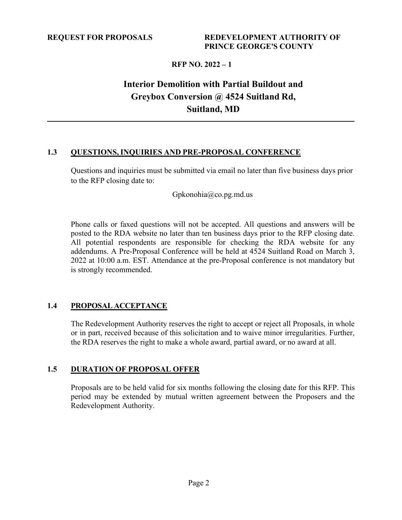## **Interior Demolition with Partial Buildout and Greybox Conversion @ 4524 Suitland Rd, Suitland, MD**

### <span id="page-4-0"></span>**1.3 QUESTIONS,INQUIRIES AND PRE-PROPOSAL CONFERENCE**

Questions and inquiries must be submitted via email no later than five business days prior to the RFP closing date to:

[Gpkonohia@co.pg.md.us](mailto:Gpkonohia@co.pg.md.us)

Phone calls or faxed questions will not be accepted. All questions and answers will be posted to the RDA website no later than ten business days prior to the RFP closing date. All potential respondents are responsible for checking the RDA website for any addendums. A Pre-Proposal Conference will be held at 4524 Suitland Road on March 3, 2022 at 10:00 a.m. EST. Attendance at the pre-Proposal conference is not mandatory but is strongly recommended.

### <span id="page-4-1"></span>**1.4 PROPOSAL ACCEPTANCE**

The Redevelopment Authority reserves the right to accept or reject all Proposals, in whole or in part, received because of this solicitation and to waive minor irregularities. Further, the RDA reserves the right to make a whole award, partial award, or no award at all.

### <span id="page-4-2"></span>**1.5 DURATION OF PROPOSAL OFFER**

Proposals are to be held valid for six months following the closing date for this RFP. This period may be extended by mutual written agreement between the Proposers and the Redevelopment Authority.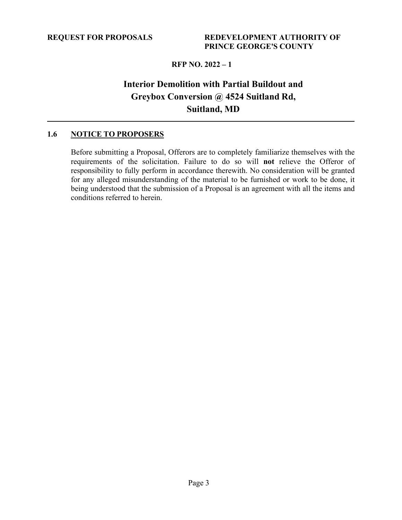### **Interior Demolition with Partial Buildout and Greybox Conversion @ 4524 Suitland Rd, Suitland, MD**

### <span id="page-5-0"></span>**1.6 NOTICE TO PROPOSERS**

Before submitting a Proposal, Offerors are to completely familiarize themselves with the requirements of the solicitation. Failure to do so will **not** relieve the Offeror of responsibility to fully perform in accordance therewith. No consideration will be granted for any alleged misunderstanding of the material to be furnished or work to be done, it being understood that the submission of a Proposal is an agreement with all the items and conditions referred to herein.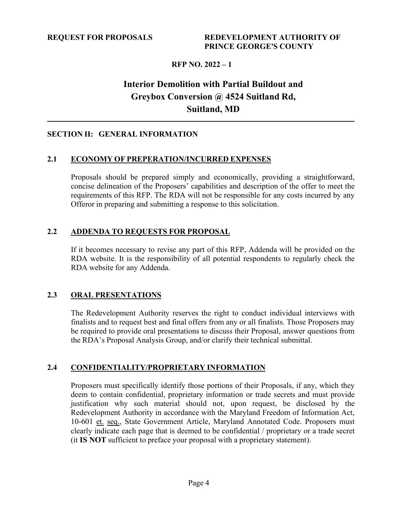### **Interior Demolition with Partial Buildout and Greybox Conversion @ 4524 Suitland Rd, Suitland, MD**

### <span id="page-6-0"></span>**SECTION II: GENERAL INFORMATION**

### <span id="page-6-1"></span>**2.1 ECONOMY OF PREPERATION/INCURRED EXPENSES**

Proposals should be prepared simply and economically, providing a straightforward, concise delineation of the Proposers' capabilities and description of the offer to meet the requirements of this RFP. The RDA will not be responsible for any costs incurred by any Offeror in preparing and submitting a response to this solicitation.

### <span id="page-6-2"></span>**2.2 ADDENDA TO REQUESTS FOR PROPOSAL**

If it becomes necessary to revise any part of this RFP, Addenda will be provided on the RDA website. It is the responsibility of all potential respondents to regularly check the RDA website for any Addenda.

### <span id="page-6-3"></span>**2.3 ORAL PRESENTATIONS**

The Redevelopment Authority reserves the right to conduct individual interviews with finalists and to request best and final offers from any or all finalists. Those Proposers may be required to provide oral presentations to discuss their Proposal, answer questions from the RDA's Proposal Analysis Group, and/or clarify their technical submittal.

#### <span id="page-6-4"></span>**2.4 CONFIDENTIALITY/PROPRIETARY INFORMATION**

Proposers must specifically identify those portions of their Proposals, if any, which they deem to contain confidential, proprietary information or trade secrets and must provide justification why such material should not, upon request, be disclosed by the Redevelopment Authority in accordance with the Maryland Freedom of Information Act, 10-601 et. seq., State Government Article, Maryland Annotated Code. Proposers must clearly indicate each page that is deemed to be confidential / proprietary or a trade secret (it **IS NOT** sufficient to preface your proposal with a proprietary statement).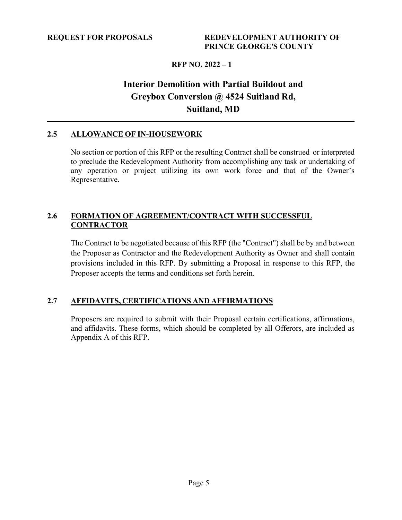### **Interior Demolition with Partial Buildout and Greybox Conversion @ 4524 Suitland Rd, Suitland, MD**

### <span id="page-7-0"></span>**2.5 ALLOWANCE OF IN-HOUSEWORK**

No section or portion of this RFP or the resulting Contract shall be construed or interpreted to preclude the Redevelopment Authority from accomplishing any task or undertaking of any operation or project utilizing its own work force and that of the Owner's Representative.

#### <span id="page-7-1"></span>**2.6 FORMATION OF AGREEMENT/CONTRACT WITH SUCCESSFUL CONTRACTOR**

The Contract to be negotiated because of this RFP (the "Contract") shall be by and between the Proposer as Contractor and the Redevelopment Authority as Owner and shall contain provisions included in this RFP. By submitting a Proposal in response to this RFP, the Proposer accepts the terms and conditions set forth herein.

#### <span id="page-7-2"></span>**2.7 AFFIDAVITS, CERTIFICATIONS AND AFFIRMATIONS**

Proposers are required to submit with their Proposal certain certifications, affirmations, and affidavits. These forms, which should be completed by all Offerors, are included as Appendix A of this RFP.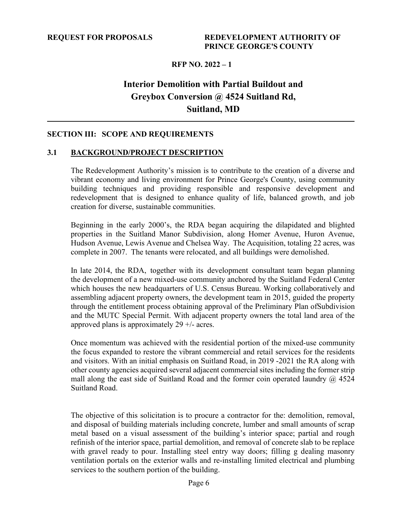### **Interior Demolition with Partial Buildout and Greybox Conversion @ 4524 Suitland Rd, Suitland, MD**

#### <span id="page-8-0"></span>**SECTION III: SCOPE AND REQUIREMENTS**

#### <span id="page-8-1"></span>**3.1 BACKGROUND/PROJECT DESCRIPTION**

The Redevelopment Authority's mission is to contribute to the creation of a diverse and vibrant economy and living environment for Prince George's County, using community building techniques and providing responsible and responsive development and redevelopment that is designed to enhance quality of life, balanced growth, and job creation for diverse, sustainable communities.

Beginning in the early 2000's, the RDA began acquiring the dilapidated and blighted properties in the Suitland Manor Subdivision, along Homer Avenue, Huron Avenue, Hudson Avenue, Lewis Avenue and Chelsea Way. The Acquisition, totaling 22 acres, was complete in 2007. The tenants were relocated, and all buildings were demolished.

In late 2014, the RDA, together with its development consultant team began planning the development of a new mixed-use community anchored by the Suitland Federal Center which houses the new headquarters of U.S. Census Bureau. Working collaboratively and assembling adjacent property owners, the development team in 2015, guided the property through the entitlement process obtaining approval of the Preliminary Plan ofSubdivision and the MUTC Special Permit. With adjacent property owners the total land area of the approved plans is approximately  $29 +$ - acres.

Once momentum was achieved with the residential portion of the mixed-use community the focus expanded to restore the vibrant commercial and retail services for the residents and visitors. With an initial emphasis on Suitland Road, in 2019 -2021 the RA along with other county agencies acquired several adjacent commercial sites including the former strip mall along the east side of Suitland Road and the former coin operated laundry  $\omega$  4524 Suitland Road.

The objective of this solicitation is to procure a contractor for the: demolition, removal, and disposal of building materials including concrete, lumber and small amounts of scrap metal based on a visual assessment of the building's interior space; partial and rough refinish of the interior space, partial demolition, and removal of concrete slab to be replace with gravel ready to pour. Installing steel entry way doors; filling g dealing masonry ventilation portals on the exterior walls and re-installing limited electrical and plumbing services to the southern portion of the building.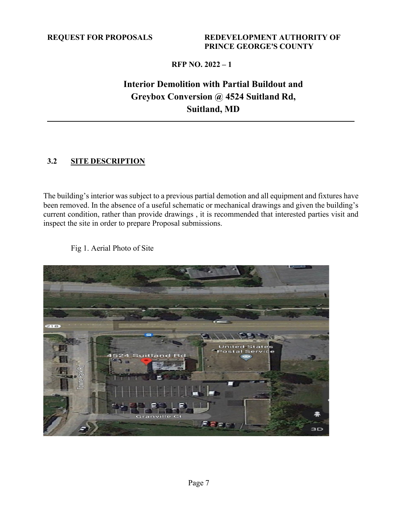### **Interior Demolition with Partial Buildout and Greybox Conversion @ 4524 Suitland Rd, Suitland, MD**

### <span id="page-9-0"></span>**3.2 SITE DESCRIPTION**

The building's interior was subject to a previous partial demotion and all equipment and fixtures have been removed. In the absence of a useful schematic or mechanical drawings and given the building's current condition, rather than provide drawings , it is recommended that interested parties visit and inspect the site in order to prepare Proposal submissions.



Fig 1. Aerial Photo of Site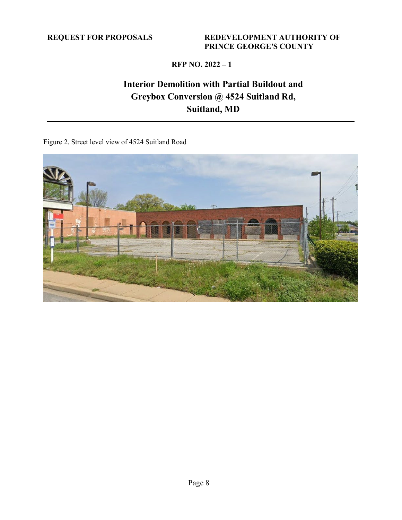### **REQUEST FOR PROPOSALS REDEVELOPMENT AUTHORITY OF PRINCE GEORGE'S COUNTY**

### **RFP NO. 2022 – 1**

### **Interior Demolition with Partial Buildout and Greybox Conversion @ 4524 Suitland Rd, Suitland, MD**

Figure 2. Street level view of 4524 Suitland Road

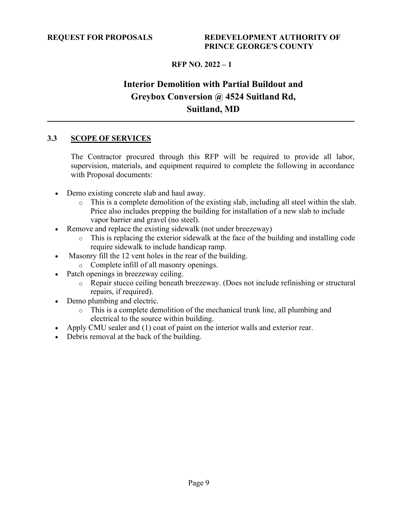### **Interior Demolition with Partial Buildout and Greybox Conversion @ 4524 Suitland Rd, Suitland, MD**

### <span id="page-11-0"></span>**3.3 SCOPE OF SERVICES**

The Contractor procured through this RFP will be required to provide all labor, supervision, materials, and equipment required to complete the following in accordance with Proposal documents:

- Demo existing concrete slab and haul away.
	- o This is a complete demolition of the existing slab, including all steel within the slab. Price also includes prepping the building for installation of a new slab to include vapor barrier and gravel (no steel).
- Remove and replace the existing sidewalk (not under breezeway)
	- o This is replacing the exterior sidewalk at the face of the building and installing code require sidewalk to include handicap ramp.
- Masonry fill the 12 vent holes in the rear of the building.
	- o Complete infill of all masonry openings.
- Patch openings in breezeway ceiling.
	- o Repair stucco ceiling beneath breezeway. (Does not include refinishing or structural repairs, if required).
- Demo plumbing and electric.
	- o This is a complete demolition of the mechanical trunk line, all plumbing and electrical to the source within building.
- Apply CMU sealer and (1) coat of paint on the interior walls and exterior rear.
- Debris removal at the back of the building.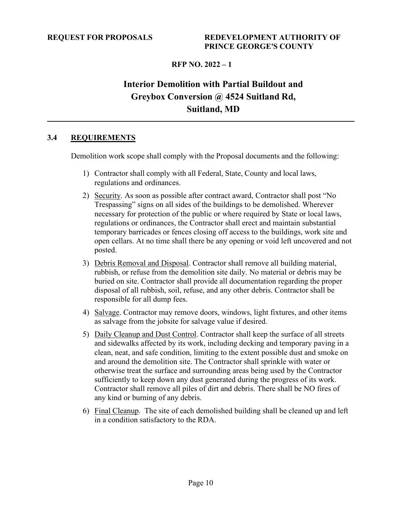## **Interior Demolition with Partial Buildout and Greybox Conversion @ 4524 Suitland Rd, Suitland, MD**

### <span id="page-12-0"></span>**3.4 REQUIREMENTS**

Demolition work scope shall comply with the Proposal documents and the following:

- 1) Contractor shall comply with all Federal, State, County and local laws, regulations and ordinances.
- 2) Security. As soon as possible after contract award, Contractor shall post "No Trespassing" signs on all sides of the buildings to be demolished. Wherever necessary for protection of the public or where required by State or local laws, regulations or ordinances, the Contractor shall erect and maintain substantial temporary barricades or fences closing off access to the buildings, work site and open cellars. At no time shall there be any opening or void left uncovered and not posted.
- 3) Debris Removal and Disposal. Contractor shall remove all building material, rubbish, or refuse from the demolition site daily. No material or debris may be buried on site. Contractor shall provide all documentation regarding the proper disposal of all rubbish, soil, refuse, and any other debris. Contractor shall be responsible for all dump fees.
- 4) Salvage. Contractor may remove doors, windows, light fixtures, and other items as salvage from the jobsite for salvage value if desired.
- 5) Daily Cleanup and Dust Control. Contractor shall keep the surface of all streets and sidewalks affected by its work, including decking and temporary paving in a clean, neat, and safe condition, limiting to the extent possible dust and smoke on and around the demolition site. The Contractor shall sprinkle with water or otherwise treat the surface and surrounding areas being used by the Contractor sufficiently to keep down any dust generated during the progress of its work. Contractor shall remove all piles of dirt and debris. There shall be NO fires of any kind or burning of any debris.
- 6) Final Cleanup. The site of each demolished building shall be cleaned up and left in a condition satisfactory to the RDA.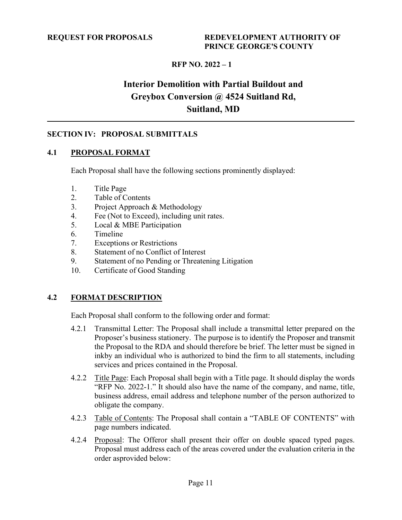## **Interior Demolition with Partial Buildout and Greybox Conversion @ 4524 Suitland Rd, Suitland, MD**

### <span id="page-13-0"></span>**SECTION IV: PROPOSAL SUBMITTALS**

#### <span id="page-13-1"></span>**4.1 PROPOSAL FORMAT**

Each Proposal shall have the following sections prominently displayed:

- 1. Title Page
- 2. Table of Contents
- 3. Project Approach & Methodology
- 4. Fee (Not to Exceed), including unit rates.
- 5. Local & MBE Participation
- 6. Timeline
- 7. Exceptions or Restrictions
- 8. Statement of no Conflict of Interest
- 9. Statement of no Pending or Threatening Litigation
- 10. Certificate of Good Standing

### <span id="page-13-2"></span>**4.2 FORMAT DESCRIPTION**

Each Proposal shall conform to the following order and format:

- 4.2.1 Transmittal Letter: The Proposal shall include a transmittal letter prepared on the Proposer's business stationery. The purpose is to identify the Proposer and transmit the Proposal to the RDA and should therefore be brief. The letter must be signed in inkby an individual who is authorized to bind the firm to all statements, including services and prices contained in the Proposal.
- 4.2.2 Title Page: Each Proposal shall begin with a Title page. It should display the words "RFP No. 2022-1." It should also have the name of the company, and name, title, business address, email address and telephone number of the person authorized to obligate the company.
- 4.2.3 Table of Contents: The Proposal shall contain a "TABLE OF CONTENTS" with page numbers indicated.
- 4.2.4 Proposal: The Offeror shall present their offer on double spaced typed pages. Proposal must address each of the areas covered under the evaluation criteria in the order asprovided below: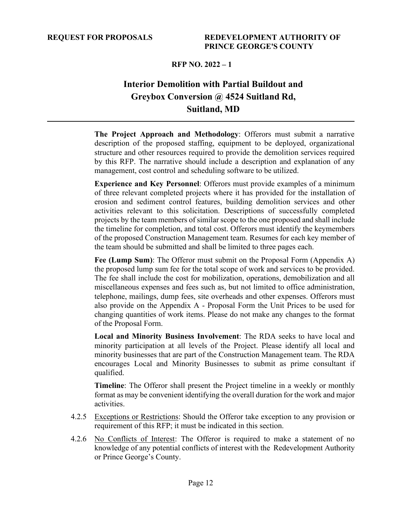### **Interior Demolition with Partial Buildout and Greybox Conversion @ 4524 Suitland Rd, Suitland, MD**

**The Project Approach and Methodology**: Offerors must submit a narrative description of the proposed staffing, equipment to be deployed, organizational structure and other resources required to provide the demolition services required by this RFP. The narrative should include a description and explanation of any management, cost control and scheduling software to be utilized.

**Experience and Key Personnel**: Offerors must provide examples of a minimum of three relevant completed projects where it has provided for the installation of erosion and sediment control features, building demolition services and other activities relevant to this solicitation. Descriptions of successfully completed projects by the team members of similar scope to the one proposed and shall include the timeline for completion, and total cost. Offerors must identify the keymembers of the proposed Construction Management team. Resumes for each key member of the team should be submitted and shall be limited to three pages each.

**Fee (Lump Sum)**: The Offeror must submit on the Proposal Form (Appendix A) the proposed lump sum fee for the total scope of work and services to be provided. The fee shall include the cost for mobilization, operations, demobilization and all miscellaneous expenses and fees such as, but not limited to office administration, telephone, mailings, dump fees, site overheads and other expenses. Offerors must also provide on the Appendix A - Proposal Form the Unit Prices to be used for changing quantities of work items. Please do not make any changes to the format of the Proposal Form.

**Local and Minority Business Involvement**: The RDA seeks to have local and minority participation at all levels of the Project. Please identify all local and minority businesses that are part of the Construction Management team. The RDA encourages Local and Minority Businesses to submit as prime consultant if qualified.

**Timeline**: The Offeror shall present the Project timeline in a weekly or monthly format as may be convenient identifying the overall duration for the work and major activities.

- 4.2.5 Exceptions or Restrictions: Should the Offeror take exception to any provision or requirement of this RFP; it must be indicated in this section.
- 4.2.6 No Conflicts of Interest: The Offeror is required to make a statement of no knowledge of any potential conflicts of interest with the Redevelopment Authority or Prince George's County.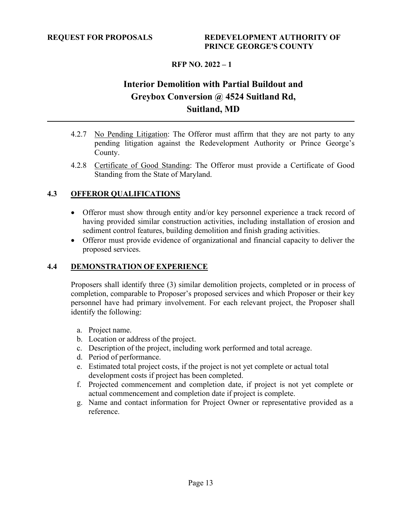### **Interior Demolition with Partial Buildout and Greybox Conversion @ 4524 Suitland Rd, Suitland, MD**

- 4.2.7 No Pending Litigation: The Offeror must affirm that they are not party to any pending litigation against the Redevelopment Authority or Prince George's County.
- 4.2.8 Certificate of Good Standing: The Offeror must provide a Certificate of Good Standing from the State of Maryland.

### <span id="page-15-0"></span>**4.3 OFFEROR QUALIFICATIONS**

- Offeror must show through entity and/or key personnel experience a track record of having provided similar construction activities, including installation of erosion and sediment control features, building demolition and finish grading activities.
- Offeror must provide evidence of organizational and financial capacity to deliver the proposed services.

### <span id="page-15-1"></span>**4.4 DEMONSTRATION OF EXPERIENCE**

Proposers shall identify three (3) similar demolition projects, completed or in process of completion, comparable to Proposer's proposed services and which Proposer or their key personnel have had primary involvement. For each relevant project, the Proposer shall identify the following:

- a. Project name.
- b. Location or address of the project.
- c. Description of the project, including work performed and total acreage.
- d. Period of performance.
- e. Estimated total project costs, if the project is not yet complete or actual total development costs if project has been completed.
- f. Projected commencement and completion date, if project is not yet complete or actual commencement and completion date if project is complete.
- g. Name and contact information for Project Owner or representative provided as a reference.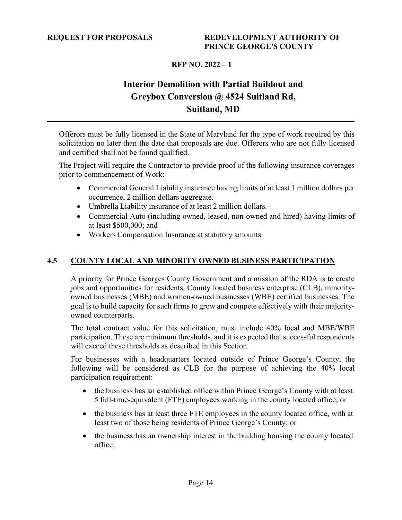### **Interior Demolition with Partial Buildout and Greybox Conversion @ 4524 Suitland Rd, Suitland, MD**

Offerors must be fully licensed in the State of Maryland for the type of work required by this solicitation no later than the date that proposals are due. Offerors who are not fully licensed and certified shall not be found qualified.

The Project will require the Contractor to provide proof of the following insurance coverages prior to commencement of Work:

- Commercial General Liability insurance having limits of at least 1 million dollars per occurrence, 2 million dollars aggregate.
- Umbrella Liability insurance of at least 2 million dollars.
- Commercial Auto (including owned, leased, non-owned and hired) having limits of at least \$500,000; and
- Workers Compensation Insurance at statutory amounts.

### <span id="page-16-0"></span>**4.5 COUNTY LOCAL AND MINORITY OWNED BUSINESS PARTICIPATION**

A priority for Prince Georges County Government and a mission of the RDA is to create jobs and opportunities for residents, County located business enterprise (CLB), minorityowned businesses (MBE) and women-owned businesses (WBE) certified businesses. The goal is to build capacity for such firms to grow and compete effectively with their majorityowned counterparts.

The total contract value for this solicitation, must include 40% local and MBE/WBE participation. These are minimum thresholds, and it is expected that successful respondents will exceed these thresholds as described in this Section.

For businesses with a headquarters located outside of Prince George's County, the following will be considered as CLB for the purpose of achieving the 40% local participation requirement:

- the business has an established office within Prince George's County with at least 5 full-time-equivalent (FTE) employees working in the county located office; or
- the business has at least three FTE employees in the county located office, with at least two of those being residents of Prince George's County; or
- the business has an ownership interest in the building housing the county located office.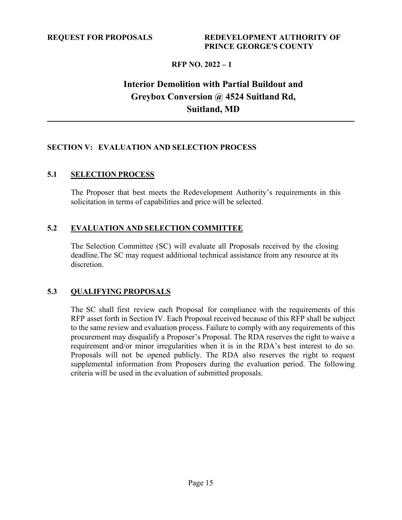### **Interior Demolition with Partial Buildout and Greybox Conversion @ 4524 Suitland Rd, Suitland, MD**

### <span id="page-17-0"></span>**SECTION V: EVALUATION AND SELECTION PROCESS**

#### <span id="page-17-1"></span>**5.1 SELECTION PROCESS**

The Proposer that best meets the Redevelopment Authority's requirements in this solicitation in terms of capabilities and price will be selected.

### <span id="page-17-2"></span>**5.2 EVALUATION AND SELECTION COMMITTEE**

The Selection Committee (SC) will evaluate all Proposals received by the closing deadline.The SC may request additional technical assistance from any resource at its discretion.

#### <span id="page-17-3"></span>**5.3 QUALIFYING PROPOSALS**

The SC shall first review each Proposal for compliance with the requirements of this RFP asset forth in Section IV. Each Proposal received because of this RFP shall be subject to the same review and evaluation process. Failure to comply with any requirements of this procurement may disqualify a Proposer's Proposal. The RDA reserves the right to waive a requirement and/or minor irregularities when it is in the RDA's best interest to do so. Proposals will not be opened publicly. The RDA also reserves the right to request supplemental information from Proposers during the evaluation period. The following criteria will be used in the evaluation of submitted proposals.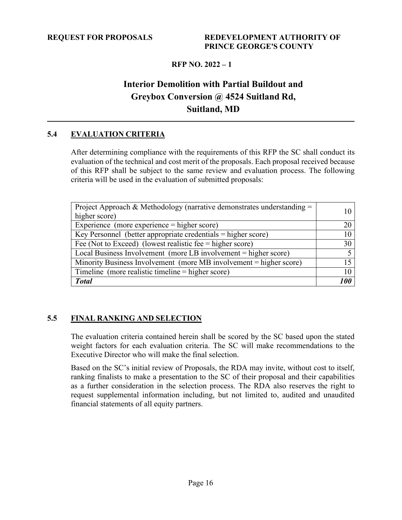### **Interior Demolition with Partial Buildout and Greybox Conversion @ 4524 Suitland Rd, Suitland, MD**

### <span id="page-18-0"></span>**5.4 EVALUATION CRITERIA**

After determining compliance with the requirements of this RFP the SC shall conduct its evaluation of the technical and cost merit of the proposals. Each proposal received because of this RFP shall be subject to the same review and evaluation process. The following criteria will be used in the evaluation of submitted proposals:

| Project Approach & Methodology (narrative demonstrates understanding $=$<br>higher score) |    |
|-------------------------------------------------------------------------------------------|----|
|                                                                                           |    |
| Experience (more experience $=$ higher score)                                             | 20 |
| Key Personnel (better appropriate credentials $\overline{ }$ = higher score)              | 10 |
| Fee (Not to Exceed) (lowest realistic fee $=$ higher score)                               |    |
| Local Business Involvement (more LB involvement = higher score)                           |    |
| Minority Business Involvement (more MB involvement = higher score)                        | 15 |
| Timeline (more realistic timeline = higher score)                                         |    |
| <b>Total</b>                                                                              |    |

### <span id="page-18-1"></span>**5.5 FINAL RANKING AND SELECTION**

The evaluation criteria contained herein shall be scored by the SC based upon the stated weight factors for each evaluation criteria. The SC will make recommendations to the Executive Director who will make the final selection.

Based on the SC's initial review of Proposals, the RDA may invite, without cost to itself, ranking finalists to make a presentation to the SC of their proposal and their capabilities as a further consideration in the selection process. The RDA also reserves the right to request supplemental information including, but not limited to, audited and unaudited financial statements of all equity partners.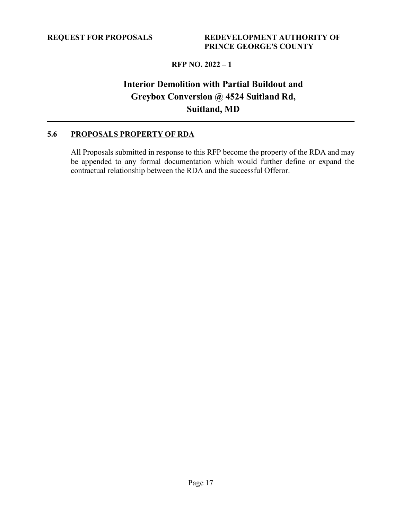### **Interior Demolition with Partial Buildout and Greybox Conversion @ 4524 Suitland Rd, Suitland, MD**

### <span id="page-19-0"></span>**5.6 PROPOSALS PROPERTY OF RDA**

All Proposals submitted in response to this RFP become the property of the RDA and may be appended to any formal documentation which would further define or expand the contractual relationship between the RDA and the successful Offeror.